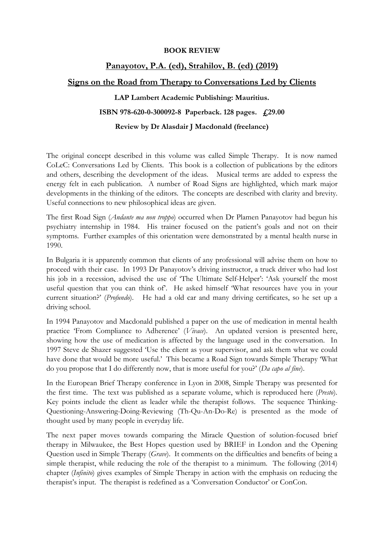#### BOOK REVIEW

## Panayotov, P.A. (ed), Strahilov, B. (ed) (2019) Signs on the Road from Therapy to Conversations Led by Clients

# LAP Lambert Academic Publishing: Mauritius.

## ISBN 978-620-0-300092-8 Paperback. 128 pages. £29.00

### Review by Dr Alasdair J Macdonald (freelance)

The original concept described in this volume was called Simple Therapy. It is now named CoLeC: Conversations Led by Clients. This book is a collection of publications by the editors and others, describing the development of the ideas. Musical terms are added to express the energy felt in each publication. A number of Road Signs are highlighted, which mark major developments in the thinking of the editors. The concepts are described with clarity and brevity. Useful connections to new philosophical ideas are given.

The first Road Sign (*Andante ma non troppo*) occurred when Dr Plamen Panayotov had begun his psychiatry internship in 1984. His trainer focused on the patient's goals and not on their symptoms. Further examples of this orientation were demonstrated by a mental health nurse in 1990.

In Bulgaria it is apparently common that clients of any professional will advise them on how to proceed with their case. In 1993 Dr Panayotov's driving instructor, a truck driver who had lost his job in a recession, advised the use of 'The Ultimate Self-Helper': 'Ask yourself the most useful question that you can think of. He asked himself 'What resources have you in your current situation?' (Profundo). He had a old car and many driving certificates, so he set up a driving school.

In 1994 Panayotov and Macdonald published a paper on the use of medication in mental health practice 'From Compliance to Adherence' (Vivace). An updated version is presented here, showing how the use of medication is affected by the language used in the conversation. In 1997 Steve de Shazer suggested 'Use the client as your supervisor, and ask them what we could have done that would be more useful.' This became a Road Sign towards Simple Therapy 'What do you propose that I do differently now, that is more useful for you?' (Da capo al fine).

In the European Brief Therapy conference in Lyon in 2008, Simple Therapy was presented for the first time. The text was published as a separate volume, which is reproduced here (Presto). Key points include the client as leader while the therapist follows. The sequence Thinking-Questioning-Answering-Doing-Reviewing (Th-Qu-An-Do-Re) is presented as the mode of thought used by many people in everyday life.

The next paper moves towards comparing the Miracle Question of solution-focused brief therapy in Milwaukee, the Best Hopes question used by BRIEF in London and the Opening Question used in Simple Therapy (Grave). It comments on the difficulties and benefits of being a simple therapist, while reducing the role of the therapist to a minimum. The following (2014) chapter (Infinito) gives examples of Simple Therapy in action with the emphasis on reducing the therapist's input. The therapist is redefined as a 'Conversation Conductor' or ConCon.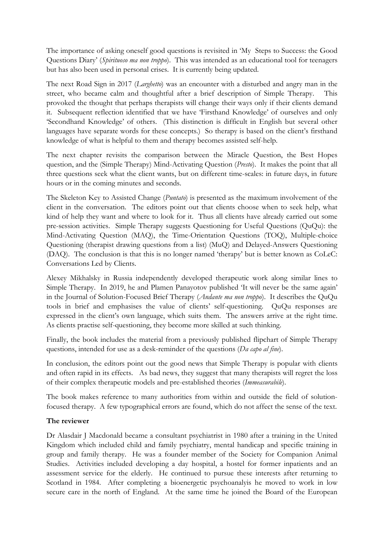The importance of asking oneself good questions is revisited in 'My Steps to Success: the Good Questions Diary' (Spirituoso ma non troppo). This was intended as an educational tool for teenagers but has also been used in personal crises. It is currently being updated.

The next Road Sign in 2017 (*Larghetto*) was an encounter with a disturbed and angry man in the street, who became calm and thoughtful after a brief description of Simple Therapy. This provoked the thought that perhaps therapists will change their ways only if their clients demand it. Subsequent reflection identified that we have 'Firsthand Knowledge' of ourselves and only 'Secondhand Knowledge' of others. (This distinction is difficult in English but several other languages have separate words for these concepts.) So therapy is based on the client's firsthand knowledge of what is helpful to them and therapy becomes assisted self-help.

The next chapter revisits the comparison between the Miracle Question, the Best Hopes question, and the (Simple Therapy) Mind-Activating Question (Presto). It makes the point that all three questions seek what the client wants, but on different time-scales: in future days, in future hours or in the coming minutes and seconds.

The Skeleton Key to Assisted Change (*Puntato*) is presented as the maximum involvement of the client in the conversation. The editors point out that clients choose when to seek help, what kind of help they want and where to look for it. Thus all clients have already carried out some pre-session activities. Simple Therapy suggests Questioning for Useful Questions (QuQu): the Mind-Activating Question (MAQ), the Time-Orientation Questions (TOQ), Multiple-choice Questioning (therapist drawing questions from a list) (MuQ) and Delayed-Answers Questioning (DAQ). The conclusion is that this is no longer named 'therapy' but is better known as CoLeC: Conversations Led by Clients.

Alexey Mikhalsky in Russia independently developed therapeutic work along similar lines to Simple Therapy. In 2019, he and Plamen Panayotov published 'It will never be the same again' in the Journal of Solution-Focused Brief Therapy (Andante ma non troppo). It describes the QuQu tools in brief and emphasises the value of clients' self-questioning. QuQu responses are expressed in the client's own language, which suits them. The answers arrive at the right time. As clients practise self-questioning, they become more skilled at such thinking.

Finally, the book includes the material from a previously published flipchart of Simple Therapy questions, intended for use as a desk-reminder of the questions (Da capo al fine).

In conclusion, the editors point out the good news that Simple Therapy is popular with clients and often rapid in its effects. As bad news, they suggest that many therapists will regret the loss of their complex therapeutic models and pre-established theories (Immeasurabile).

The book makes reference to many authorities from within and outside the field of solutionfocused therapy. A few typographical errors are found, which do not affect the sense of the text.

### The reviewer

Dr Alasdair J Macdonald became a consultant psychiatrist in 1980 after a training in the United Kingdom which included child and family psychiatry, mental handicap and specific training in group and family therapy. He was a founder member of the Society for Companion Animal Studies. Activities included developing a day hospital, a hostel for former inpatients and an assessment service for the elderly. He continued to pursue these interests after returning to Scotland in 1984. After completing a bioenergetic psychoanalyis he moved to work in low secure care in the north of England. At the same time he joined the Board of the European